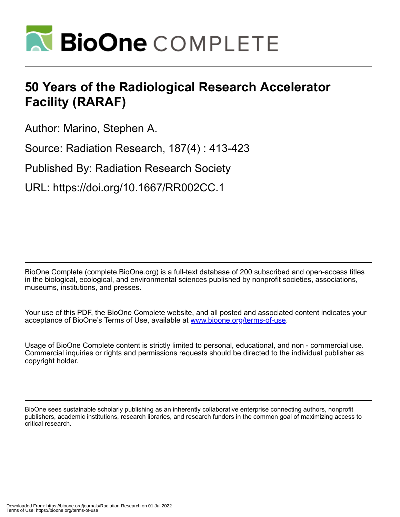

# **50 Years of the Radiological Research Accelerator Facility (RARAF)**

Author: Marino, Stephen A.

Source: Radiation Research, 187(4) : 413-423

Published By: Radiation Research Society

URL: https://doi.org/10.1667/RR002CC.1

BioOne Complete (complete.BioOne.org) is a full-text database of 200 subscribed and open-access titles in the biological, ecological, and environmental sciences published by nonprofit societies, associations, museums, institutions, and presses.

Your use of this PDF, the BioOne Complete website, and all posted and associated content indicates your acceptance of BioOne's Terms of Use, available at www.bioone.org/terms-of-use.

Usage of BioOne Complete content is strictly limited to personal, educational, and non - commercial use. Commercial inquiries or rights and permissions requests should be directed to the individual publisher as copyright holder.

BioOne sees sustainable scholarly publishing as an inherently collaborative enterprise connecting authors, nonprofit publishers, academic institutions, research libraries, and research funders in the common goal of maximizing access to critical research.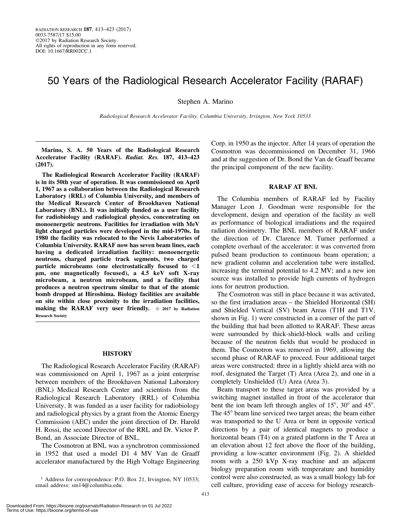# 50 Years of the Radiological Research Accelerator Facility (RARAF)

Stephen A. Marino

Radiological Research Accelerator Facility, Columbia University, Irvington, New York 10533

Marino, S. A. 50 Years of the Radiological Research Accelerator Facility (RARAF). Radiat. Res. 187, 413–423 (2017).

The Radiological Research Accelerator Facility (RARAF) is in its 50th year of operation. It was commissioned on April 1, 1967 as a collaboration between the Radiological Research Laboratory (RRL) of Columbia University, and members of the Medical Research Center of Brookhaven National Laboratory (BNL). It was initially funded as a user facility for radiobiology and radiological physics, concentrating on monoenergetic neutrons. Facilities for irradiation with MeV light charged particles were developed in the mid-1970s. In 1980 the facility was relocated to the Nevis Laboratories of Columbia University. RARAF now has seven beam lines, each having a dedicated irradiation facility: monoenergetic neutrons, charged particle track segments, two charged particle microbeams (one electrostatically focused to  $\leq 1$ lm, one magnetically focused), a 4.5 keV soft X-ray microbeam, a neutron microbeam, and a facility that produces a neutron spectrum similar to that of the atomic bomb dropped at Hiroshima. Biology facilities are available on site within close proximity to the irradiation facilities, making the RARAF very user friendly.  $\circ$  2017 by Radiation Research Society

#### **HISTORY**

The Radiological Research Accelerator Facility (RARAF) was commissioned on April 1, 1967 as a joint enterprise between members of the Brookhaven National Laboratory (BNL) Medical Research Center and scientists from the Radiological Research Laboratory (RRL) of Columbia University. It was funded as a user facility for radiobiology and radiological physics by a grant from the Atomic Energy Commission (AEC) under the joint direction of Dr. Harold H. Rossi, the second Director of the RRL and Dr. Victor P. Bond, an Associate Director of BNL.

The Cosmotron at BNL was a synchrotron commissioned in 1952 that used a model D1 4 MV Van de Graaff accelerator manufactured by the High Voltage Engineering

<sup>1</sup> Address for correspondence: P.O. Box 21, Irvington, NY 10533; email address: sm14@columbia.edu.

Corp. in 1950 as the injector. After 14 years of operation the Cosmotron was decommissioned on December 31, 1966 and at the suggestion of Dr. Bond the Van de Graaff became the principal component of the new facility.

# RARAF AT BNL

The Columbia members of RARAF led by Facility Manager Leon J. Goodman were responsible for the development, design and operation of the facility as well as performance of biological irradiations and the required radiation dosimetry. The BNL members of RARAF under the direction of Dr. Clarence M. Turner performed a complete overhaul of the accelerator: it was converted from pulsed beam production to continuous beam operation; a new gradient column and acceleration tube were installed, increasing the terminal potential to 4.2 MV; and a new ion source was installed to provide high currents of hydrogen ions for neutron production.

The Cosmotron was still in place because it was activated, so the first irradiation areas – the Shielded Horizontal (SH) and Shielded Vertical (SV) beam Areas (T1H and T1V, shown in Fig. 1) were constructed in a corner of the part of the building that had been allotted to RARAF. These areas were surrounded by thick-shield-block walls and ceiling because of the neutron fields that would be produced in them. The Cosmotron was removed in 1969, allowing the second phase of RARAF to proceed. Four additional target areas were constructed: three in a lightly shield area with no roof, designated the Target (T) Area (Area 2), and one in a completely Unshielded (U) Area (Area 3).

Beam transport to these target areas was provided by a switching magnet installed in front of the accelerator that bent the ion beam left through angles of  $15^{\circ}$ ,  $30^{\circ}$  and  $45^{\circ}$ . The  $45^{\circ}$  beam line serviced two target areas; the beam either was transported to the U Area or bent in opposite vertical directions by a pair of identical magnets to produce a horizontal beam (T4) on a grated platform in the T Area at an elevation about 12 feet above the floor of the building, providing a low-scatter environment (Fig. 2). A shielded room with a 250 kVp X-ray machine and an adjacent biology preparation room with temperature and humidity control were also constructed, as was a small biology lab for cell culture, providing ease of access for biology research-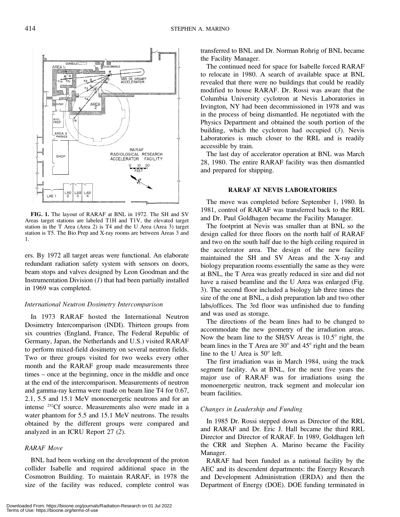FIG. 1. The layout of RARAF at BNL in 1972. The SH and SV Areas target stations are labeled T1H and T1V, the elevated target station in the T Area (Area 2) is T4 and the U Area (Area 3) target station is T5. The Bio Prep and X-ray rooms are between Areas 3 and 1.

ers. By 1972 all target areas were functional. An elaborate redundant radiation safety system with sensors on doors, beam stops and valves designed by Leon Goodman and the Instrumentation Division  $(I)$  that had been partially installed in 1969 was completed.

#### International Neutron Dosimetry Intercomparison

In 1973 RARAF hosted the International Neutron Dosimetry Intercomparison (INDI). Thirteen groups from six countries (England, France, The Federal Republic of Germany, Japan, the Netherlands and U.S.) visited RARAF to perform mixed-field dosimetry on several neutron fields. Two or three groups visited for two weeks every other month and the RARAF group made measurements three times – once at the beginning, once in the middle and once at the end of the intercomparison. Measurements of neutron and gamma-ray kerma were made on beam line T4 for 0.67, 2.1, 5.5 and 15.1 MeV monoenergetic neutrons and for an intense 252Cf source. Measurements also were made in a water phantom for 5.5 and 15.1 MeV neutrons. The results obtained by the different groups were compared and analyzed in an ICRU Report 27 (2).

## RARAF Move

BNL had been working on the development of the proton collider Isabelle and required additional space in the Cosmotron Building. To maintain RARAF, in 1978 the size of the facility was reduced, complete control was

transferred to BNL and Dr. Norman Rohrig of BNL became the Facility Manager.

The continued need for space for Isabelle forced RARAF to relocate in 1980. A search of available space at BNL revealed that there were no buildings that could be readily modified to house RARAF. Dr. Rossi was aware that the Columbia University cyclotron at Nevis Laboratories in Irvington, NY had been decommissioned in 1978 and was in the process of being dismantled. He negotiated with the Physics Department and obtained the south portion of the building, which the cyclotron had occupied  $(3)$ . Nevis Laboratories is much closer to the RRL and is readily accessible by train.

The last day of accelerator operation at BNL was March 28, 1980. The entire RARAF facility was then dismantled and prepared for shipping.

# RARAF AT NEVIS LABORATORIES

The move was completed before September 1, 1980. In 1981, control of RARAF was transferred back to the RRL and Dr. Paul Goldhagen became the Facility Manager.

The footprint at Nevis was smaller than at BNL so the design called for three floors on the north half of RARAF and two on the south half due to the high ceiling required in the accelerator area. The design of the new facility maintained the SH and SV Areas and the X-ray and biology preparation rooms essentially the same as they were at BNL, the T Area was greatly reduced in size and did not have a raised beamline and the U Area was enlarged (Fig. 3). The second floor included a biology lab three times the size of the one at BNL, a dish preparation lab and two other labs/offices. The 3rd floor was unfinished due to funding and was used as storage.

The directions of the beam lines had to be changed to accommodate the new geometry of the irradiation areas. Now the beam line to the SH/SV Areas is  $10.5^\circ$  right, the beam lines in the T Area are  $30^{\circ}$  and  $45^{\circ}$  right and the beam line to the U Area is  $50^{\circ}$  left.

The first irradiation was in March 1984, using the track segment facility. As at BNL, for the next five years the major use of RARAF was for irradiations using the monoenergetic neutron, track segment and molecular ion beam facilities.

## Changes in Leadership and Funding

In 1985 Dr. Rossi stepped down as Director of the RRL and RARAF and Dr. Eric J. Hall became the third RRL Director and Director of RARAF. In 1989, Goldhagen left the CRR and Stephen A. Marino became the Facility Manager.

RARAF had been funded as a national facility by the AEC and its descendent departments: the Energy Research and Development Administration (ERDA) and then the Department of Energy (DOE). DOE funding terminated in

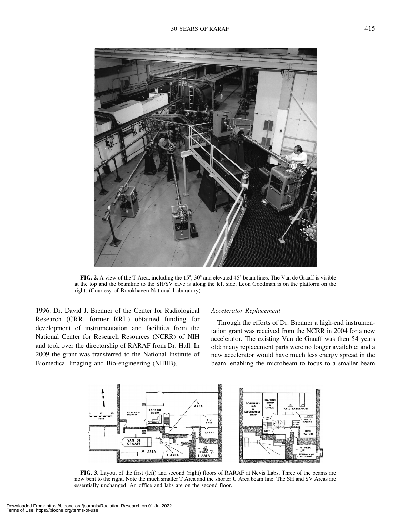

FIG. 2. A view of the T Area, including the  $15^{\circ}$ ,  $30^{\circ}$  and elevated  $45^{\circ}$  beam lines. The Van de Graaff is visible at the top and the beamline to the SH/SV cave is along the left side. Leon Goodman is on the platform on the right. (Courtesy of Brookhaven National Laboratory)

1996. Dr. David J. Brenner of the Center for Radiological Research (CRR, former RRL) obtained funding for development of instrumentation and facilities from the National Center for Research Resources (NCRR) of NIH and took over the directorship of RARAF from Dr. Hall. In 2009 the grant was transferred to the National Institute of Biomedical Imaging and Bio-engineering (NIBIB).

#### Accelerator Replacement

Through the efforts of Dr. Brenner a high-end instrumentation grant was received from the NCRR in 2004 for a new accelerator. The existing Van de Graaff was then 54 years old; many replacement parts were no longer available; and a new accelerator would have much less energy spread in the beam, enabling the microbeam to focus to a smaller beam



FIG. 3. Layout of the first (left) and second (right) floors of RARAF at Nevis Labs. Three of the beams are now bent to the right. Note the much smaller T Area and the shorter U Area beam line. The SH and SV Areas are essentially unchanged. An office and labs are on the second floor.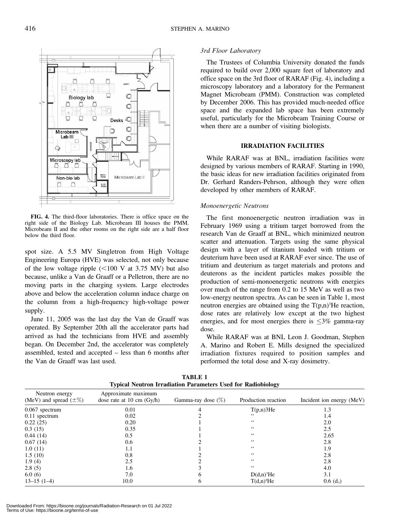

FIG. 4. The third-floor laboratories. There is office space on the right side of the Biology Lab. Microbeam III houses the PMM. Microbeam II and the other rooms on the right side are a half floor below the third floor.

spot size. A 5.5 MV Singletron from High Voltage Engineering Europa (HVE) was selected, not only because of the low voltage ripple  $(<100$  V at 3.75 MV) but also because, unlike a Van de Graaff or a Pelletron, there are no moving parts in the charging system. Large electrodes above and below the acceleration column induce charge on the column from a high-frequency high-voltage power supply.

June 11, 2005 was the last day the Van de Graaff was operated. By September 20th all the accelerator parts had arrived as had the technicians from HVE and assembly began. On December 2nd, the accelerator was completely assembled, tested and accepted – less than 6 months after the Van de Graaff was last used.

# 3rd Floor Laboratory

The Trustees of Columbia University donated the funds required to build over 2,000 square feet of laboratory and office space on the 3rd floor of RARAF (Fig. 4), including a microscopy laboratory and a laboratory for the Permanent Magnet Microbeam (PMM). Construction was completed by December 2006. This has provided much-needed office space and the expanded lab space has been extremely useful, particularly for the Microbeam Training Course or when there are a number of visiting biologists.

#### IRRADIATION FACILITIES

While RARAF was at BNL, irradiation facilities were designed by various members of RARAF. Starting in 1990, the basic ideas for new irradiation facilities originated from Dr. Gerhard Randers-Pehrson, although they were often developed by other members of RARAF.

#### Monoenergetic Neutrons

The first monoenergetic neutron irradiation was in February 1969 using a tritium target borrowed from the research Van de Graaff at BNL, which minimized neutron scatter and attenuation. Targets using the same physical design with a layer of titanium loaded with tritium or deuterium have been used at RARAF ever since. The use of tritium and deuterium as target materials and protons and deuterons as the incident particles makes possible the production of semi-monoenergetic neutrons with energies over much of the range from 0.2 to 15 MeV as well as two low-energy neutron spectra. As can be seen in Table 1, most neutron energies are obtained using the  $T(p,n)$ <sup>3</sup>He reaction, dose rates are relatively low except at the two highest energies, and for most energies there is  $\leq$ 3% gamma-ray dose.

While RARAF was at BNL Leon J. Goodman, Stephen A. Marino and Robert E. Mills designed the specialized irradiation fixtures required to position samples and performed the total dose and X-ray dosimetry.

| Typical Neutron IITaulation Farancell's Oseu for Kaulophology |                                                    |                       |                       |                           |  |  |
|---------------------------------------------------------------|----------------------------------------------------|-----------------------|-----------------------|---------------------------|--|--|
| Neutron energy<br>(MeV) and spread $(\pm \%)$                 | Approximate maximum<br>dose rate at 10 cm $(Gy/h)$ | Gamma-ray dose $(\%)$ | Production reaction   | Incident ion energy (MeV) |  |  |
| 0.067 spectrum                                                | 0.01                                               |                       | $T(p,n)$ 3He          | 1.3                       |  |  |
| $0.11$ spectrum                                               | 0.02                                               |                       | 66                    | 1.4                       |  |  |
| 0.22(25)                                                      | 0.20                                               |                       | 66                    | 2.0                       |  |  |
| 0.3(15)                                                       | 0.35                                               |                       | 66                    | 2.5                       |  |  |
| 0.44(14)                                                      | 0.5                                                |                       | $\zeta$ $\zeta$       | 2.65                      |  |  |
| 0.67(14)                                                      | 0.6                                                |                       | $\zeta$ $\zeta$       | 2.8                       |  |  |
| 1.0(11)                                                       | 1.1                                                |                       | $\zeta$ $\zeta$       | 1.9                       |  |  |
| 1.5(10)                                                       | 0.8                                                |                       | $\epsilon$ $\epsilon$ | 2.8                       |  |  |
| 1.9(4)                                                        | 2.5                                                |                       | 66                    | 2.8                       |  |  |
| 2.8(5)                                                        | 1.6                                                |                       | 66                    | 4.0                       |  |  |
| 6.0(6)                                                        | 7.0                                                | h                     | $D(d,n)^{3}He$        | 3.1                       |  |  |
| $13-15(1-4)$                                                  | 10.0                                               | O                     | $T(d,n)^{4}He$        | $0.6$ (d <sub>3</sub> )   |  |  |

TABLE 1 Typical Neutron Irradiation Parameters Used for Radiobiology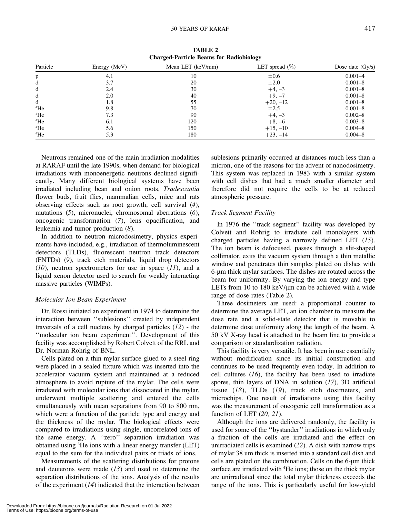TABLE 2 Charged-Particle Beams for Radiobiology

| Particle | Energy (MeV) | Mean LET (keV/mm) | LET spread $(\%)$ | Dose date $(Gy/s)$ |
|----------|--------------|-------------------|-------------------|--------------------|
| p        | 4.1          | 10                | $\pm 0.6$         | $0.001 - 4$        |
| d        | 3.7          | 20                | $\pm 2.0$         | $0.001 - 8$        |
| d        | 2.4          | 30                | $+4, -3$          | $0.001 - 8$        |
| d        | 2.0          | 40                | $+9, -7$          | $0.001 - 8$        |
| d        | 1.8          | 55                | $+20, -12$        | $0.001 - 8$        |
| $4$ He   | 9.8          | 70                | $\pm 2.5$         | $0.001 - 8$        |
| 4He      | 7.3          | 90                | $+4, -3$          | $0.002 - 8$        |
| $4$ He   | 6.1          | 120               | $+8, -6$          | $0.003 - 8$        |
| $4$ He   | 5.6          | 150               | $+15, -10$        | $0.004 - 8$        |
| $4$ He   | 5.3          | 180               | $+23, -14$        | $0.004 - 8$        |

Neutrons remained one of the main irradiation modalities at RARAF until the late 1990s, when demand for biological irradiations with monoenergetic neutrons declined significantly. Many different biological systems have been irradiated including bean and onion roots, Tradescantia flower buds, fruit flies, mammalian cells, mice and rats observing effects such as root growth, cell survival (4), mutations (5), micronuclei, chromosomal aberrations (6), oncogenic transformation (7), lens opacification, and leukemia and tumor production (8).

In addition to neutron microdosimetry, physics experiments have included, e.g., irradiation of thermoluminescent detectors (TLDs), fluorescent neutron track detectors (FNTDs) (9), track etch materials, liquid drop detectors  $(10)$ , neutron spectrometers for use in space  $(11)$ , and a liquid xenon detector used to search for weakly interacting massive particles (WIMPs).

#### Molecular Ion Beam Experiment

Dr. Rossi initiated an experiment in 1974 to determine the interaction between ''sublesions'' created by independent traversals of a cell nucleus by charged particles  $(12)$  - the ''molecular ion beam experiment''. Development of this facility was accomplished by Robert Colvett of the RRL and Dr. Norman Rohrig of BNL.

Cells plated on a thin mylar surface glued to a steel ring were placed in a sealed fixture which was inserted into the accelerator vacuum system and maintained at a reduced atmosphere to avoid rupture of the mylar. The cells were irradiated with molecular ions that dissociated in the mylar, underwent multiple scattering and entered the cells simultaneously with mean separations from 90 to 800 nm, which were a function of the particle type and energy and the thickness of the mylar. The biological effects were compared to irradiations using single, uncorrelated ions of the same energy. A ''zero'' separation irradiation was obtained using <sup>3</sup>He ions with a linear energy transfer (LET) equal to the sum for the individual pairs or triads of ions.

Measurements of the scattering distributions for protons and deuterons were made  $(13)$  and used to determine the separation distributions of the ions. Analysis of the results of the experiment  $(14)$  indicated that the interaction between sublesions primarily occurred at distances much less than a micron, one of the reasons for the advent of nanodosimetry. This system was replaced in 1983 with a similar system with cell dishes that had a much smaller diameter and therefore did not require the cells to be at reduced atmospheric pressure.

#### Track Segment Facility

In 1976 the ''track segment'' facility was developed by Colvett and Rohrig to irradiate cell monolayers with charged particles having a narrowly defined LET (15). The ion beam is defocused, passes through a slit-shaped collimator, exits the vacuum system through a thin metallic window and penetrates thin samples plated on dishes with 6-lm thick mylar surfaces. The dishes are rotated across the beam for uniformity. By varying the ion energy and type LETs from 10 to 180 keV/ $\mu$ m can be achieved with a wide range of dose rates (Table 2).

Three dosimeters are used: a proportional counter to determine the average LET, an ion chamber to measure the dose rate and a solid-state detector that is movable to determine dose uniformity along the length of the beam. A 50 kV X-ray head is attached to the beam line to provide a comparison or standardization radiation.

This facility is very versatile. It has been in use essentially without modification since its initial construction and continues to be used frequently even today. In addition to cell cultures  $(16)$ , the facility has been used to irradiate spores, thin layers of DNA in solution (17), 3D artificial tissue  $(18)$ , TLDs  $(19)$ , track etch dosimeters, and microchips. One result of irradiations using this facility was the measurement of oncogenic cell transformation as a function of LET  $(20, 21)$ .

Although the ions are delivered randomly, the facility is used for some of the ''bystander'' irradiations in which only a fraction of the cells are irradiated and the effect on unirradiated cells is examined (22). A dish with narrow trips of mylar 38 um thick is inserted into a standard cell dish and cells are plated on the combination. Cells on the  $6$ - $\mu$ m thick surface are irradiated with <sup>4</sup>He ions; those on the thick mylar are unirradiated since the total mylar thickness exceeds the range of the ions. This is particularly useful for low-yield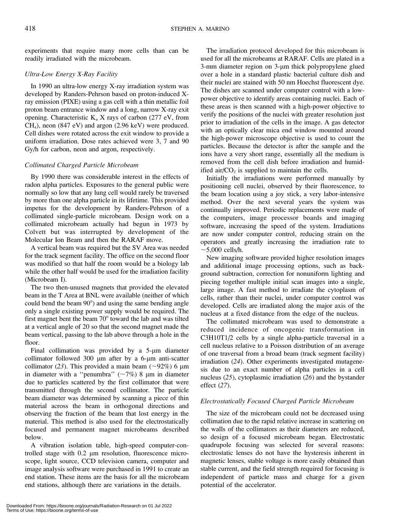experiments that require many more cells than can be readily irradiated with the microbeam.

# Ultra-Low Energy X-Ray Facility

In 1990 an ultra-low energy X-ray irradiation system was developed by Randers-Pehrson based on proton-induced Xray emission (PIXE) using a gas cell with a thin metallic foil proton beam entrance window and a long, narrow X-ray exit opening. Characteristic  $K_{\alpha}$  X rays of carbon (277 eV, from CH4), neon (847 eV) and argon (2.96 keV) were produced. Cell dishes were rotated across the exit window to provide a uniform irradiation. Dose rates achieved were 3, 7 and 90 Gy/h for carbon, neon and argon, respectively.

# Collimated Charged Particle Microbeam

By 1990 there was considerable interest in the effects of radon alpha particles. Exposures to the general public were normally so low that any lung cell would rarely be traversed by more than one alpha particle in its lifetime. This provided impetus for the development by Randers-Pehrson of a collimated single-particle microbeam. Design work on a collimated microbeam actually had begun in 1973 by Colvett but was interrupted by development of the Molecular Ion Beam and then the RARAF move.

A vertical beam was required but the SV Area was needed for the track segment facility. The office on the second floor was modified so that half the room would be a biology lab while the other half would be used for the irradiation facility (Microbeam I).

The two then-unused magnets that provided the elevated beam in the T Area at BNL were available (neither of which could bend the beam  $90^{\circ}$  and using the same bending angle only a single existing power supply would be required. The first magnet bent the beam  $70^{\circ}$  toward the lab and was tilted at a vertical angle of 20 so that the second magnet made the beam vertical, passing to the lab above through a hole in the floor.

Final collimation was provided by a  $5-\mu m$  diameter collimator followed  $300 \mu m$  after by a 6- $\mu m$  anti-scatter collimator (23). This provided a main beam ( $\sim$ 92%) 6 µm in diameter with a "penumbra" ( $\sim$ 7%) 8 µm in diameter due to particles scattered by the first collimator that were transmitted through the second collimator. The particle beam diameter was determined by scanning a piece of thin material across the beam in orthogonal directions and observing the fraction of the beam that lost energy in the material. This method is also used for the electrostatically focused and permanent magnet microbeams described below.

A vibration isolation table, high-speed computer-controlled stage with 0.2  $\mu$ m resolution, fluorescence microscope, light source, CCD television camera, computer and image analysis software were purchased in 1991 to create an end station. These items are the basis for all the microbeam end stations, although there are variations in the details.

The irradiation protocol developed for this microbeam is used for all the microbeams at RARAF. Cells are plated in a 3-mm diameter region on 3-µm thick polypropylene glued over a hole in a standard plastic bacterial culture dish and their nuclei are stained with 50 nm Hoechst fluorescent dye. The dishes are scanned under computer control with a lowpower objective to identify areas containing nuclei. Each of these areas is then scanned with a high-power objective to verify the positions of the nuclei with greater resolution just prior to irradiation of the cells in the image. A gas detector with an optically clear mica end window mounted around the high-power microscope objective is used to count the particles. Because the detector is after the sample and the ions have a very short range, essentially all the medium is removed from the cell dish before irradiation and humidified air/ $CO<sub>2</sub>$  is supplied to maintain the cells.

Initially the irradiations were performed manually by positioning cell nuclei, observed by their fluorescence, to the beam location using a joy stick, a very labor-intensive method. Over the next several years the system was continually improved. Periodic replacements were made of the computers, image processor boards and imaging software, increasing the speed of the system. Irradiations are now under computer control, reducing strain on the operators and greatly increasing the irradiation rate to  $\sim$ 5,000 cells/h.

New imaging software provided higher resolution images and additional image processing options, such as background subtraction, correction for nonuniform lighting and piecing together multiple initial scan images into a single, large image. A fast method to irradiate the cytoplasm of cells, rather than their nuclei, under computer control was developed. Cells are irradiated along the major axis of the nucleus at a fixed distance from the edge of the nucleus.

The collimated microbeam was used to demonstrate a reduced incidence of oncogenic transformation in C3H10T1/2 cells by a single alpha-particle traversal in a cell nucleus relative to a Poisson distribution of an average of one traversal from a broad beam (track segment facility) irradiation (24). Other experiments investigated mutagenesis due to an exact number of alpha particles in a cell nucleus (25), cytoplasmic irradiation (26) and the bystander effect (27).

# Electrostatically Focused Charged Particle Microbeam

The size of the microbeam could not be decreased using collimation due to the rapid relative increase in scattering on the walls of the collimators as their diameters are reduced, so design of a focused microbeam began. Electrostatic quadrupole focusing was selected for several reasons: electrostatic lenses do not have the hysteresis inherent in magnetic lenses, stable voltage is more easily obtained than stable current, and the field strength required for focusing is independent of particle mass and charge for a given potential of the accelerator.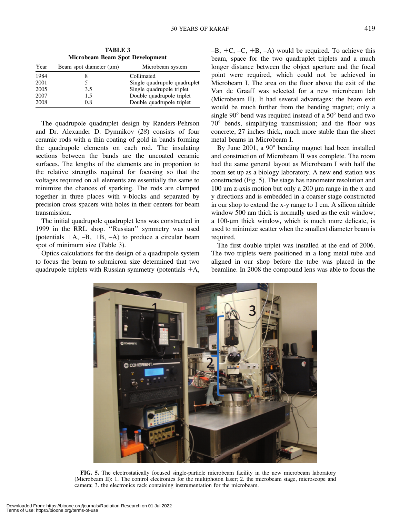TABLE 3 Microbeam Beam Spot Development

| Year | Beam spot diameter $(\mu m)$ | Microbeam system             |
|------|------------------------------|------------------------------|
| 1984 |                              | Collimated                   |
| 2001 |                              | Single quadrupole quadruplet |
| 2005 | 3.5                          | Single quadrupole triplet    |
| 2007 | 1.5                          | Double quadrupole triplet    |
| 2008 | 0.8                          | Double quadrupole triplet    |
|      |                              |                              |

The quadrupole quadruplet design by Randers-Pehrson and Dr. Alexander D. Dymnikov (28) consists of four ceramic rods with a thin coating of gold in bands forming the quadrupole elements on each rod. The insulating sections between the bands are the uncoated ceramic surfaces. The lengths of the elements are in proportion to the relative strengths required for focusing so that the voltages required on all elements are essentially the same to minimize the chances of sparking. The rods are clamped together in three places with v-blocks and separated by precision cross spacers with holes in their centers for beam transmission.

The initial quadrupole quadruplet lens was constructed in 1999 in the RRL shop. ''Russian'' symmetry was used (potentials  $+A$ ,  $-B$ ,  $+B$ ,  $-A$ ) to produce a circular beam spot of minimum size (Table 3).

Optics calculations for the design of a quadrupole system to focus the beam to submicron size determined that two quadrupole triplets with Russian symmetry (potentials  $+A$ ,  $-B, +C, -C, +B, -A$ ) would be required. To achieve this beam, space for the two quadruplet triplets and a much longer distance between the object aperture and the focal point were required, which could not be achieved in Microbeam I. The area on the floor above the exit of the Van de Graaff was selected for a new microbeam lab (Microbeam II). It had several advantages: the beam exit would be much further from the bending magnet; only a single  $90^{\circ}$  bend was required instead of a  $50^{\circ}$  bend and two  $70^{\circ}$  bends, simplifying transmission; and the floor was concrete, 27 inches thick, much more stable than the sheet metal beams in Microbeam I.

By June  $2001$ , a  $90^{\circ}$  bending magnet had been installed and construction of Microbeam II was complete. The room had the same general layout as Microbeam I with half the room set up as a biology laboratory. A new end station was constructed (Fig. 5). The stage has nanometer resolution and 100 um z-axis motion but only a  $200 \mu m$  range in the x and y directions and is embedded in a coarser stage constructed in our shop to extend the x-y range to 1 cm. A silicon nitride window 500 nm thick is normally used as the exit window; a 100-um thick window, which is much more delicate, is used to minimize scatter when the smallest diameter beam is required.

The first double triplet was installed at the end of 2006. The two triplets were positioned in a long metal tube and aligned in our shop before the tube was placed in the beamline. In 2008 the compound lens was able to focus the



FIG. 5. The electrostatically focused single-particle microbeam facility in the new microbeam laboratory (Microbeam II): 1. The control electronics for the multiphoton laser; 2. the microbeam stage, microscope and camera; 3. the electronics rack containing instrumentation for the microbeam.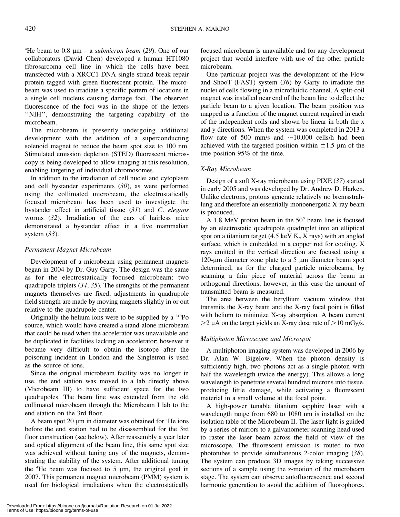<sup>4</sup>He beam to 0.8  $\mu$ m – a *submicron beam* (29). One of our collaborators (David Chen) developed a human HT1080 fibrosarcoma cell line in which the cells have been transfected with a XRCC1 DNA single-strand break repair protein tagged with green fluorescent protein. The microbeam was used to irradiate a specific pattern of locations in a single cell nucleus causing damage foci. The observed fluorescence of the foci was in the shape of the letters ''NIH'', demonstrating the targeting capability of the microbeam.

The microbeam is presently undergoing additional development with the addition of a superconducting solenoid magnet to reduce the beam spot size to 100 nm. Stimulated emission depletion (STED) fluorescent microscopy is being developed to allow imaging at this resolution, enabling targeting of individual chromosomes.

In addition to the irradiation of cell nuclei and cytoplasm and cell bystander experiments (30), as were performed using the collimated microbeam, the electrostatically focused microbeam has been used to investigate the bystander effect in artificial tissue  $(31)$  and C. elegans worms (32). Irradiation of the ears of hairless mice demonstrated a bystander effect in a live mammalian system  $(33)$ .

# Permanent Magnet Microbeam

Development of a microbeam using permanent magnets began in 2004 by Dr. Guy Garty. The design was the same as for the electrostatically focused microbeam: two quadrupole triplets (34, 35). The strengths of the permanent magnets themselves are fixed; adjustments in quadrupole field strength are made by moving magnets slightly in or out relative to the quadrupole center.

Originally the helium ions were to be supplied by a 210Po source, which would have created a stand-alone microbeam that could be used when the accelerator was unavailable and be duplicated in facilities lacking an accelerator; however it became very difficult to obtain the isotope after the poisoning incident in London and the Singletron is used as the source of ions.

Since the original microbeam facility was no longer in use, the end station was moved to a lab directly above (Microbeam III) to have sufficient space for the two quadrupoles. The beam line was extended from the old collimated microbeam through the Microbeam I lab to the end station on the 3rd floor.

A beam spot  $20 \mu m$  in diameter was obtained for  ${}^{4}$ He ions before the end station had to be disassembled for the 3rd floor construction (see below). After reassembly a year later and optical alignment of the beam line, this same spot size was achieved without tuning any of the magnets, demonstrating the stability of the system. After additional tuning the  ${}^4$ He beam was focused to 5  $\mu$ m, the original goal in 2007. This permanent magnet microbeam (PMM) system is used for biological irradiations when the electrostatically focused microbeam is unavailable and for any development project that would interfere with use of the other particle microbeam.

One particular project was the development of the Flow and ShooT (FAST) system (36) by Garty to irradiate the nuclei of cells flowing in a microfluidic channel. A split-coil magnet was installed near end of the beam line to deflect the particle beam to a given location. The beam position was mapped as a function of the magnet current required in each of the independent coils and shown be linear in both the x and y directions. When the system was completed in 2013 a flow rate of 500 mm/s and  $\sim$ 10,000 cells/h had been achieved with the targeted position within  $\pm 1.5$  µm of the true position 95% of the time.

# X-Ray Microbeam

Design of a soft X-ray microbeam using PIXE (37) started in early 2005 and was developed by Dr. Andrew D. Harken. Unlike electrons, protons generate relatively no bremsstrahlung and therefore an essentially monoenergetic X-ray beam is produced.

A 1.8 MeV proton beam in the  $50^{\circ}$  beam line is focused by an electrostatic quadrupole quadruplet into an elliptical spot on a titanium target (4.5 keV  $K_{\alpha}$  X rays) with an angled surface, which is embedded in a copper rod for cooling. X rays emitted in the vertical direction are focused using a 120-um diameter zone plate to a 5 um diameter beam spot determined, as for the charged particle microbeams, by scanning a thin piece of material across the beam in orthogonal directions; however, in this case the amount of transmitted beam is measured.

The area between the beryllium vacuum window that transmits the X-ray beam and the X-ray focal point is filled with helium to minimize X-ray absorption. A beam current  $>$ 2 µA on the target yields an X-ray dose rate of  $>$ 10 mGy/s.

# Multiphoton Microscope and Microspot

A multiphoton imaging system was developed in 2006 by Dr. Alan W. Bigelow. When the photon density is sufficiently high, two photons act as a single photon with half the wavelength (twice the energy). This allows a long wavelength to penetrate several hundred microns into tissue, producing little damage, while activating a fluorescent material in a small volume at the focal point.

A high-power tunable titanium sapphire laser with a wavelength range from 680 to 1080 nm is installed on the isolation table of the Microbeam II. The laser light is guided by a series of mirrors to a galvanometer scanning head used to raster the laser beam across the field of view of the microscope. The fluorescent emission is routed to two phototubes to provide simultaneous 2-color imaging (38). The system can produce 3D images by taking successive sections of a sample using the z-motion of the microbeam stage. The system can observe autofluorescence and second harmonic generation to avoid the addition of fluorophores.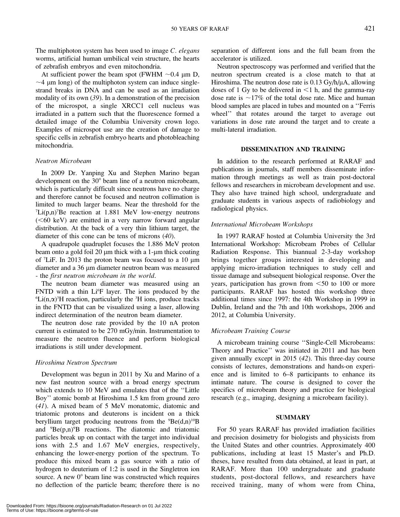The multiphoton system has been used to image C. elegans worms, artificial human umbilical vein structure, the hearts of zebrafish embryos and even mitochondria.

At sufficient power the beam spot (FWHM  $\sim 0.4$  µm D,  $\sim$ 4 µm long) of the multiphoton system can induce singlestrand breaks in DNA and can be used as an irradiation modality of its own (39). In a demonstration of the precision of the microspot, a single XRCC1 cell nucleus was irradiated in a pattern such that the fluorescence formed a detailed image of the Columbia University crown logo. Examples of microspot use are the creation of damage to specific cells in zebrafish embryo hearts and photobleaching mitochondria.

# Neutron Microbeam

In 2009 Dr. Yanping Xu and Stephen Marino began development on the  $30^{\circ}$  beam line of a neutron microbeam, which is particularly difficult since neutrons have no charge and therefore cannot be focused and neutron collimation is limited to much larger beams. Near the threshold for the  ${}^{7}$ Li(p,n)<sup>7</sup>Be reaction at 1.881 MeV low-energy neutrons  $(<60 \text{ keV})$  are emitted in a very narrow forward angular distribution. At the back of a very thin lithium target, the diameter of this cone can be tens of microns (40).

A quadrupole quadruplet focuses the 1.886 MeV proton beam onto a gold foil  $20 \mu m$  thick with a 1- $\mu m$  thick coating of <sup>7</sup>LiF. In 2013 the proton beam was focused to a 10 µm diameter and a 36 µm diameter neutron beam was measured - the first neutron microbeam in the world.

The neutron beam diameter was measured using an FNTD with a thin Li<sup>6</sup>F layer. The ions produced by the  ${}^6$ Li(n, $\alpha$ )<sup>3</sup>H reaction, particularly the <sup>3</sup>H ions, produce tracks in the FNTD that can be visualized using a laser, allowing indirect determination of the neutron beam diameter.

The neutron dose rate provided by the 10 nA proton current is estimated to be 270 mGy/min. Instrumentation to measure the neutron fluence and perform biological irradiations is still under development.

# Hiroshima Neutron Spectrum

Development was begun in 2011 by Xu and Marino of a new fast neutron source with a broad energy spectrum which extends to 10 MeV and emulates that of the ''Little Boy'' atomic bomb at Hiroshima 1.5 km from ground zero (41). A mixed beam of 5 MeV monatomic, diatomic and triatomic protons and deuterons is incident on a thick beryllium target producing neutrons from the  ${}^{9}Be(d,n)$ <sup>10</sup>B and  ${}^{9}Be(p,n){}^{9}B$  reactions. The diatomic and triatomic particles break up on contact with the target into individual ions with 2.5 and 1.67 MeV energies, respectively, enhancing the lower-energy portion of the spectrum. To produce this mixed beam a gas source with a ratio of hydrogen to deuterium of 1:2 is used in the Singletron ion source. A new  $0^{\circ}$  beam line was constructed which requires no deflection of the particle beam; therefore there is no separation of different ions and the full beam from the accelerator is utilized.

Neutron spectroscopy was performed and verified that the neutron spectrum created is a close match to that at Hiroshima. The neutron dose rate is  $0.13 \text{ Gy/h/µA}$ , allowing doses of 1 Gy to be delivered in  $\leq$ 1 h, and the gamma-ray dose rate is  $\sim$ 17% of the total dose rate. Mice and human blood samples are placed in tubes and mounted on a ''Ferris wheel'' that rotates around the target to average out variations in dose rate around the target and to create a multi-lateral irradiation.

# DISSEMINATION AND TRAINING

In addition to the research performed at RARAF and publications in journals, staff members disseminate information through meetings as well as train post-doctoral fellows and researchers in microbeam development and use. They also have trained high school, undergraduate and graduate students in various aspects of radiobiology and radiological physics.

#### International Microbeam Workshops

In 1997 RARAF hosted at Columbia University the 3rd International Workshop: Microbeam Probes of Cellular Radiation Response. This biannual 2-3-day workshop brings together groups interested in developing and applying micro-irradiation techniques to study cell and tissue damage and subsequent biological response. Over the years, participation has grown from  $<$  50 to 100 or more participants. RARAF has hosted this workshop three additional times since 1997: the 4th Workshop in 1999 in Dublin, Ireland and the 7th and 10th workshops, 2006 and 2012, at Columbia University.

#### Microbeam Training Course

A microbeam training course ''Single-Cell Microbeams: Theory and Practice'' was initiated in 2011 and has been given annually except in 2015 (42). This three-day course consists of lectures, demonstrations and hands-on experience and is limited to 6–8 participants to enhance its intimate nature. The course is designed to cover the specifics of microbeam theory and practice for biological research (e.g., imaging, designing a microbeam facility).

#### SUMMARY

For 50 years RARAF has provided irradiation facilities and precision dosimetry for biologists and physicists from the United States and other countries. Approximately 400 publications, including at least 15 Master's and Ph.D. theses, have resulted from data obtained, at least in part, at RARAF. More than 100 undergraduate and graduate students, post-doctoral fellows, and researchers have received training, many of whom were from China,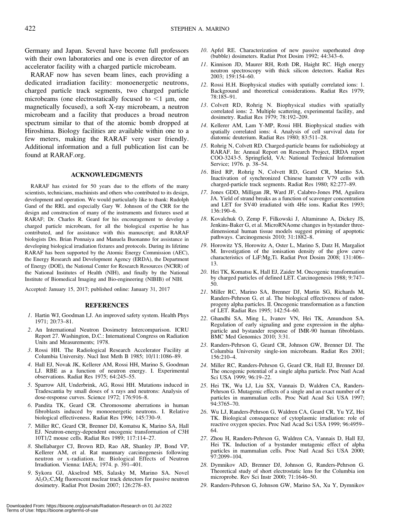Germany and Japan. Several have become full professors with their own laboratories and one is even director of an accelerator facility with a charged particle microbeam.

RARAF now has seven beam lines, each providing a dedicated irradiation facility: monoenergetic neutrons, charged particle track segments, two charged particle microbeams (one electrostatically focused to  $\leq 1$  µm, one magnetically focused), a soft X-ray microbeam, a neutron microbeam and a facility that produces a broad neutron spectrum similar to that of the atomic bomb dropped at Hiroshima. Biology facilities are available within one to a few meters, making the RARAF very user friendly. Additional information and a full publication list can be found at RARAF.org.

### ACKNOWLEDGMENTS

RARAF has existed for 50 years due to the efforts of the many scientists, technicians, machinists and others who contributed to its design, development and operation. We would particularly like to thank: Rudolph Gand of the RRL and especially Gary W. Johnson of the CRR for the design and construction of many of the instruments and fixtures used at RARAF; Dr. Charles R. Geard for his encouragement to develop a charged particle microbeam, for all the biological expertise he has contributed, and for assistance with this manuscript; and RARAF biologists Drs. Brian Ponnaiya and Manuela Buonanno for assistance in developing biological irradiation fixtures and protocols. During its lifetime RARAF has been supported by the Atomic Energy Commission (AEC), the Energy Research and Development Agency (ERDA), the Department of Energy (DOE), the National Center for Research Resources (NCRR) of the National Institutes of Health (NIH), and finally by the National Institute of Biomedical Imaging and Bio-engineering (NIBIB) of NIH.

Accepted: January 15, 2017; published online: January 31, 2017

#### REFERENCES

- 1. Hartin WJ, Goodman LJ. An improved safety system. Health Phys 1971; 20:73–81.
- 2. An International Neutron Dosimetry Intercomparison. ICRU Report 27. Washington, D.C.: International Congress on Radiation Units and Measurements; 1978.
- 3. Rossi HH. The Radiological Research Accelerator Facility at Columbia University. Nucl Inst Meth B 1985; 10/11:1086–89.
- 4. Hall EJ, Novak JK, Kellerer AM, Rossi HH, Marino S, Goodman LJ. RBE as a function of neutron energy. I. Experimental observations. Radiat Res 1975; 64:245–55.
- 5. Sparrow AH, Underbrink, AG, Rossi HH. Mutations induced in Tradescantia by small doses of x rays and neutrons: Analysis of dose-response curves. Science 1972; 176:916–8.
- 6. Pandita TK, Geard CR. Chromosome aberrations in human fibroblasts induced by monoenergetic neutrons. I. Relative biological effectiveness. Radiat Res 1996; 145:730–9.
- 7. Miller RC, Geard CR, Brenner DJ, Komatsu K, Marino SA, Hall EJ. Neutron-energy-dependent oncogenic transformation of C3H 10T1/2 mouse cells. Radiat Res 1989; 117:114–27.
- 8. Shellabarger CJ, Brown RD, Rao AR, Shanley JP, Bond VP, Kellerer AM, et al. Rat mammary carcinogenesis following neutron or x-radiation. In: Biological Effects of Neutron Irradiation. Vienna: IAEA; 1974. p. 391–401.
- 9. Sykora GJ, Akselrod MS, Salasky M, Marino SA. Novel  $A<sub>1</sub>Q<sub>3</sub>$ :C,Mg fluorescent nuclear track detectors for passive neutron dosimetry. Radiat Prot Dosim 2007; 126:278–83.
- 10. Apfel RE. Characterization of new passive superheated drop (bubble) dosimeters. Radiat Prot Dosim 1992; 44:343–6.
- 11. Kinnison JD, Maurer RH, Roth DR, Haight RC. High energy neutron spectroscopy with thick silicon detectors. Radiat Res 2003; 159:154–60.
- 12. Rossi H.H. Biophysical studies with spatially correlated ions: 1. Background and theoretical considerations. Radiat Res 1979; 78:185–91.
- 13. Colvett RD, Rohrig N. Biophysical studies with spatially correlated ions: 2. Multiple scattering, experimental facility, and dosimetry. Radiat Res 1979; 78:192–209.
- 14. Kellerer AM, Lam Y-MP, Rossi HH. Biophysical studies with spatially correlated ions: 4. Analysis of cell survival data for diatomic deuterium. Radiat Res 1980; 83:511–28.
- 15. Rohrig N, Colvett RD. Charged-particle beams for radiobiology at RARAF. In: Annual Report on Research Project, ERDA report COO-3243-5. Springfield, VA: National Technical Information Service; 1976. p. 38–54.
- 16. Bird RP, Rohrig N, Colvett RD, Geard CR, Marino SA. Inactivation of synchronized Chinese hamster V79 cells with charged-particle track segments. Radiat Res 1980; 82:277–89.
- 17. Jones GDD, Milligan JR, Ward JF, Calabro-Jones PM, Aguilera JA. Yield of strand breaks as a function of scavenger concentration and LET for SV40 irradiated with 4He ions. Radiat Res 1993; 136:190–6.
- 18. Kovalchuk O, Zemp F, Filkowski J, Altamirano A, Dickey JS, Jenkins-Baker G, et al. MicroRNAome changes in bystander threedimensional human tissue models suggest priming of apoptotic pathways. Carcinogenesis 2010; 31:1882–8.
- 19. Horowitz YS, Horowitz A, Oster L, Marino S, Datz H, Margaliot M. Investigation of the ionisation density of the glow curve characteristics of LiF:Mg,Ti. Radiat Prot Dosim 2008; 131:406– 13.
- 20. Hei TK, Komatsu K, Hall EJ, Zaider M. Oncogenic transformation by charged particles of defined LET. Carcinogenesis 1988; 9:747– 50.
- 21. Miller RC, Marino SA, Brenner DJ, Martin SG, Richards M, Randers-Pehrson G, et al. The biological effectiveness of radonprogeny alpha particles. II. Oncogenic transformation as a function of LET. Radiat Res 1995; 142:54–60.
- 22. Ghandhi SA, Ming L, Ivanov VN, Hei TK, Amundson SA. Regulation of early signaling and gene expression in the alphaparticle and bystander response of IMR-90 human fibroblasts. BMC Med Genomics 2010; 3:31.
- 23. Randers-Pehrson G, Geard CR, Johnson GW, Brenner DJ. The Columbia University single-ion microbeam. Radiat Res 2001; 156:210–4.
- 24. Miller RC, Randers-Pehrson G, Geard CR, Hall EJ, Brenner DJ. The oncogenic potential of a single alpha particle. Proc Natl Acad Sci USA 1999; 96:19–22.
- 25. Hei TK, Wu LJ, Liu SX, Vannais D, Waldren CA, Randers-Pehrson G. Mutagenic effects of a single and an exact number of  $\alpha$ particles in mammalian cells. Proc Natl Acad Sci USA 1997; 94:3765–70.
- 26. Wu LJ, Randers-Pehrson G, Waldren CA, Geard CR, Yu YZ, Hei TK. Biological consequence of cytoplasmic irradiation: role of reactive oxygen species. Proc Natl Acad Sci USA 1999; 96:4959– 64.
- 27. Zhou H, Randers-Pehrson G, Waldren CA, Vannais D, Hall EJ, Hei TK. Induction of a bystander mutagenic effect of alpha particles in mammalian cells. Proc Natl Acad Sci USA 2000; 97:2099–104.
- 28. Dymnikov AD, Brenner DJ, Johnson G, Randers-Pehrson G. Theoretical study of short electrostatic lens for the Columbia ion microprobe. Rev Sci Instr 2000; 71:1646–50.
- 29. Randers-Pehrson G, Johnson GW, Marino SA, Xu Y, Dymnikov